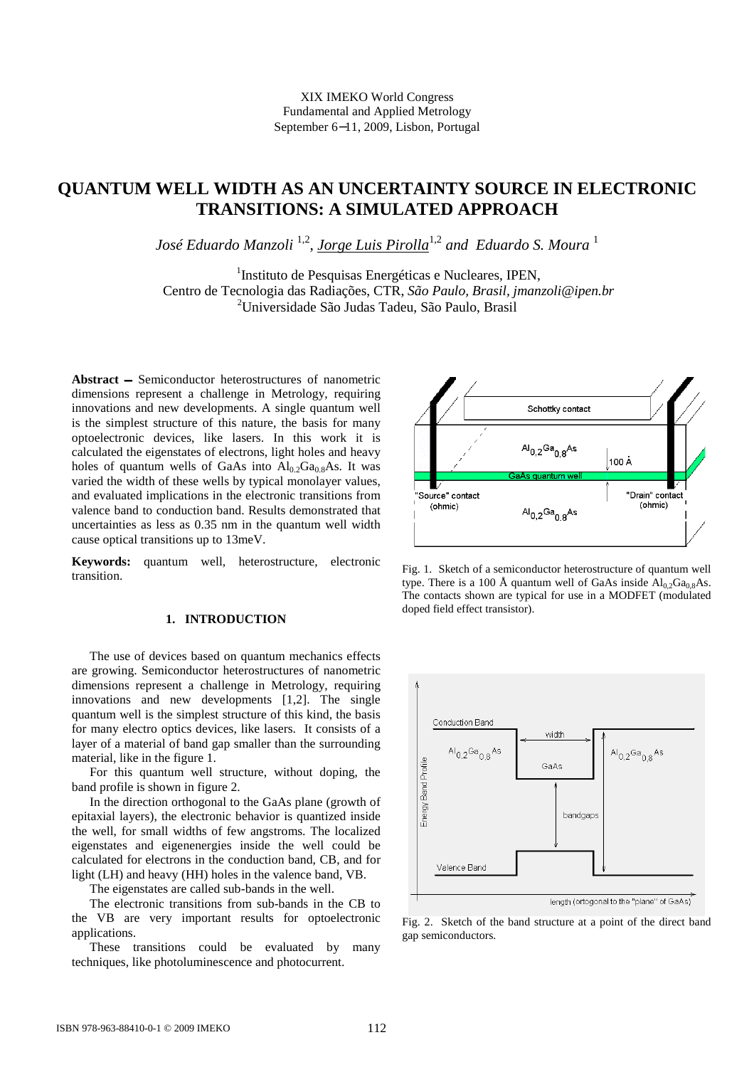# **QUANTUM WELL WIDTH AS AN UNCERTAINTY SOURCE IN ELECTRONIC TRANSITIONS: A SIMULATED APPROACH**

*José Eduardo Manzoli* 1,2 , *Jorge Luis Pirolla*1,2 *and Eduardo S. Moura* <sup>1</sup>

<sup>1</sup>Instituto de Pesquisas Energéticas e Nucleares, IPEN, Centro de Tecnologia das Radiações, CTR, *São Paulo, Brasil, jmanzoli@ipen.br* <sup>2</sup>Universidade São Judas Tadeu, São Paulo, Brasil

Abstract – Semiconductor heterostructures of nanometric dimensions represent a challenge in Metrology, requiring innovations and new developments. A single quantum well is the simplest structure of this nature, the basis for many optoelectronic devices, like lasers. In this work it is calculated the eigenstates of electrons, light holes and heavy holes of quantum wells of GaAs into  $Al_{0.2}Ga_{0.8}As$ . It was varied the width of these wells by typical monolayer values, and evaluated implications in the electronic transitions from valence band to conduction band. Results demonstrated that uncertainties as less as 0.35 nm in the quantum well width cause optical transitions up to 13meV.

**Keywords:** quantum well, heterostructure, electronic transition.

## **1. INTRODUCTION**

 The use of devices based on quantum mechanics effects are growing. Semiconductor heterostructures of nanometric dimensions represent a challenge in Metrology, requiring innovations and new developments [1,2]. The single quantum well is the simplest structure of this kind, the basis for many electro optics devices, like lasers. It consists of a layer of a material of band gap smaller than the surrounding material, like in the figure 1.

 For this quantum well structure, without doping, the band profile is shown in figure 2.

 In the direction orthogonal to the GaAs plane (growth of epitaxial layers), the electronic behavior is quantized inside the well, for small widths of few angstroms. The localized eigenstates and eigenenergies inside the well could be calculated for electrons in the conduction band, CB, and for light (LH) and heavy (HH) holes in the valence band, VB.

The eigenstates are called sub-bands in the well.

 The electronic transitions from sub-bands in the CB to the VB are very important results for optoelectronic applications.

 These transitions could be evaluated by many techniques, like photoluminescence and photocurrent.



Fig. 1. Sketch of a semiconductor heterostructure of quantum well type. There is a 100 Å quantum well of GaAs inside  $Al_{0.2}Ga_{0.8}As$ . The contacts shown are typical for use in a MODFET (modulated doped field effect transistor).



Fig. 2. Sketch of the band structure at a point of the direct band gap semiconductors.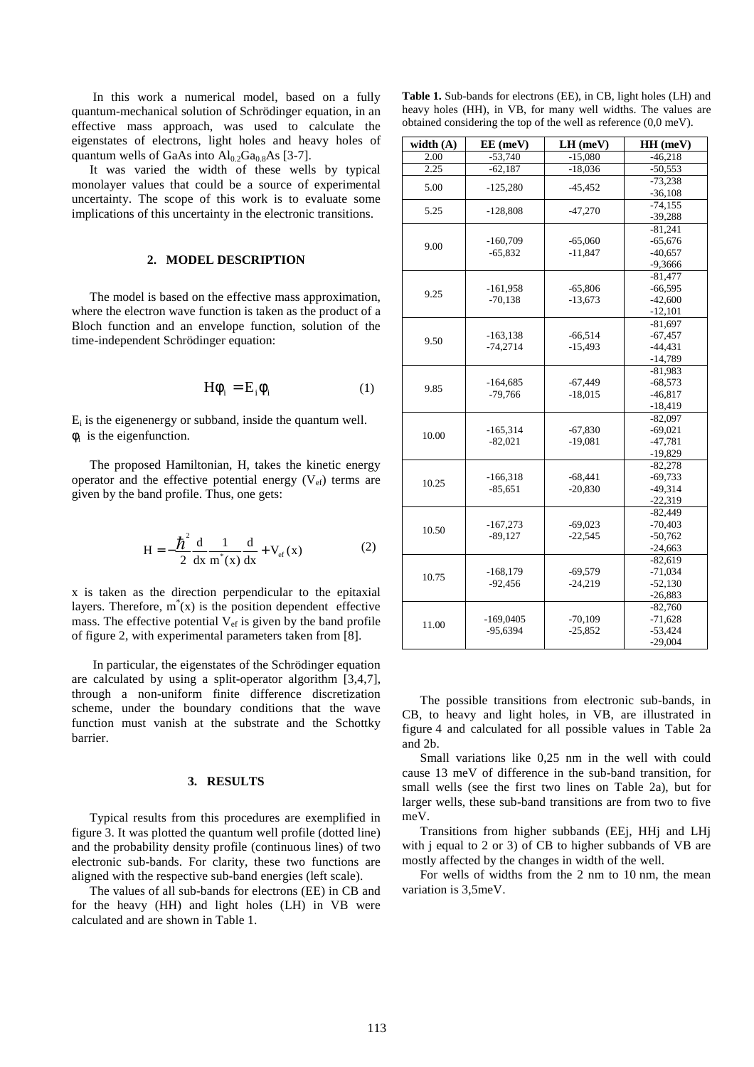In this work a numerical model, based on a fully quantum-mechanical solution of Schrödinger equation, in an effective mass approach, was used to calculate the eigenstates of electrons, light holes and heavy holes of quantum wells of GaAs into  $Al_{0.2}Ga_{0.8}As$  [3-7].

 It was varied the width of these wells by typical monolayer values that could be a source of experimental uncertainty. The scope of this work is to evaluate some implications of this uncertainty in the electronic transitions.

### **2. MODEL DESCRIPTION**

 The model is based on the effective mass approximation, where the electron wave function is taken as the product of a Bloch function and an envelope function, solution of the time-independent Schrödinger equation:

$$
H\phi_i = E_i \phi_i \tag{1}
$$

 $E_i$  is the eigenenergy or subband, inside the quantum well.  $\phi_i$  is the eigenfunction.

 The proposed Hamiltonian, H, takes the kinetic energy operator and the effective potential energy  $(V_{ef})$  terms are given by the band profile. Thus, one gets:

$$
H = -\frac{\hbar^2}{2} \frac{d}{dx} \frac{1}{m^*(x)} \frac{d}{dx} + V_{ef}(x)
$$
 (2)

x is taken as the direction perpendicular to the epitaxial layers. Therefore,  $m^*(x)$  is the position dependent effective mass. The effective potential  $V_{ef}$  is given by the band profile of figure 2, with experimental parameters taken from [8].

 In particular, the eigenstates of the Schrödinger equation are calculated by using a split-operator algorithm [3,4,7], through a non-uniform finite difference discretization scheme, under the boundary conditions that the wave function must vanish at the substrate and the Schottky barrier.

#### **3. RESULTS**

 Typical results from this procedures are exemplified in figure 3. It was plotted the quantum well profile (dotted line) and the probability density profile (continuous lines) of two electronic sub-bands. For clarity, these two functions are aligned with the respective sub-band energies (left scale).

 The values of all sub-bands for electrons (EE) in CB and for the heavy (HH) and light holes (LH) in VB were calculated and are shown in Table 1.

**Table 1.** Sub-bands for electrons (EE), in CB, light holes (LH) and heavy holes (HH), in VB, for many well widths. The values are obtained considering the top of the well as reference (0,0 meV).

| width $(A)$ | EE (meV)    | LH (meV)  | HH (meV)  |  |
|-------------|-------------|-----------|-----------|--|
| 2.00        | $-53,740$   | $-15,080$ | $-46,218$ |  |
| 2.25        | $-62,187$   | $-18,036$ | $-50,553$ |  |
|             |             |           | $-73,238$ |  |
| 5.00        | $-125,280$  | $-45,452$ | $-36,108$ |  |
|             |             |           | $-74,155$ |  |
| 5.25        | $-128,808$  | $-47,270$ | $-39,288$ |  |
|             |             |           | $-81,241$ |  |
| 9.00        | $-160,709$  | $-65,060$ | $-65,676$ |  |
|             | $-65,832$   | $-11,847$ | $-40,657$ |  |
|             |             |           | $-9,3666$ |  |
|             |             |           | $-81,477$ |  |
| 9.25        | $-161,958$  | $-65,806$ | $-66,595$ |  |
|             | $-70,138$   | $-13,673$ | $-42,600$ |  |
|             |             |           | $-12,101$ |  |
|             |             |           | $-81,697$ |  |
| 9.50        | $-163,138$  | $-66,514$ | $-67,457$ |  |
|             | $-74,2714$  | $-15,493$ | $-44.431$ |  |
|             |             |           | $-14,789$ |  |
|             |             |           | $-81,983$ |  |
| 9.85        | $-164,685$  | $-67,449$ | $-68,573$ |  |
|             | $-79,766$   | $-18,015$ | $-46,817$ |  |
|             |             |           | $-18,419$ |  |
|             |             |           | $-82,097$ |  |
| 10.00       | $-165,314$  | $-67,830$ | $-69,021$ |  |
|             | $-82,021$   | $-19,081$ | $-47,781$ |  |
|             |             |           | $-19,829$ |  |
|             |             |           | $-82,278$ |  |
| 10.25       | $-166,318$  | $-68,441$ | $-69.733$ |  |
|             | $-85,651$   | $-20,830$ | $-49,314$ |  |
|             |             |           | $-22,319$ |  |
|             |             |           | $-82,449$ |  |
| 10.50       | $-167,273$  | $-69,023$ | $-70,403$ |  |
|             | $-89,127$   | $-22,545$ | $-50,762$ |  |
|             |             |           | $-24,663$ |  |
| 10.75       |             |           | $-82,619$ |  |
|             | $-168,179$  | $-69,579$ | $-71,034$ |  |
|             | $-92,456$   | $-24,219$ | $-52,130$ |  |
|             |             |           | $-26,883$ |  |
|             |             |           | $-82,760$ |  |
| 11.00       | $-169,0405$ | $-70,109$ | $-71,628$ |  |
|             | $-95,6394$  | $-25,852$ | $-53,424$ |  |
|             |             |           | $-29,004$ |  |

 The possible transitions from electronic sub-bands, in CB, to heavy and light holes, in VB, are illustrated in figure 4 and calculated for all possible values in Table 2a and 2b.

 Small variations like 0,25 nm in the well with could cause 13 meV of difference in the sub-band transition, for small wells (see the first two lines on Table 2a), but for larger wells, these sub-band transitions are from two to five meV.

Transitions from higher subbands (EEj, HHj and LHj with j equal to 2 or 3) of CB to higher subbands of VB are mostly affected by the changes in width of the well.

 For wells of widths from the 2 nm to 10 nm, the mean variation is 3,5meV.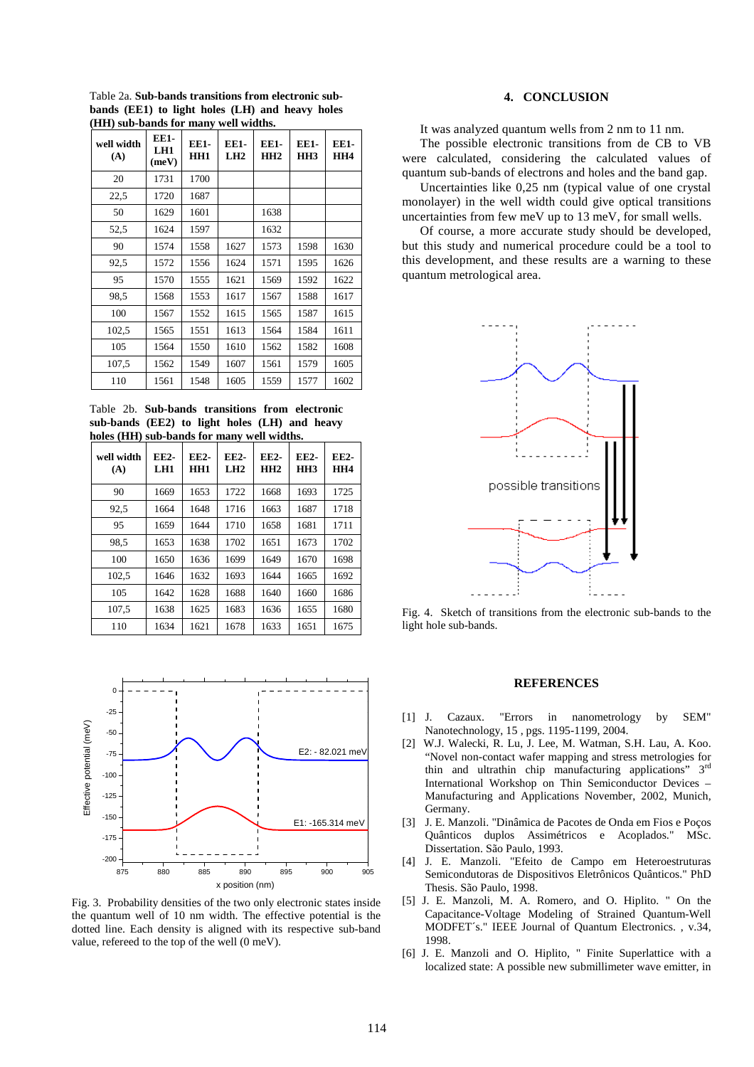Table 2a. **Sub-bands transitions from electronic subbands (EE1) to light holes (LH) and heavy holes (HH) sub-bands for many well widths.** 

| well width<br>(A) | <b>EE1-</b><br>LH1<br>(meV) | EE1-<br>HH1 | <b>EE1-</b><br>LH2 | EE1-<br>HH2 | <b>EE1-</b><br>HH <sub>3</sub> | EE1-<br>HH4 |
|-------------------|-----------------------------|-------------|--------------------|-------------|--------------------------------|-------------|
| 20                | 1731                        | 1700        |                    |             |                                |             |
| 22,5              | 1720                        | 1687        |                    |             |                                |             |
| 50                | 1629                        | 1601        |                    | 1638        |                                |             |
| 52,5              | 1624                        | 1597        |                    | 1632        |                                |             |
| 90                | 1574                        | 1558        | 1627               | 1573        | 1598                           | 1630        |
| 92,5              | 1572                        | 1556        | 1624               | 1571        | 1595                           | 1626        |
| 95                | 1570                        | 1555        | 1621               | 1569        | 1592                           | 1622        |
| 98.5              | 1568                        | 1553        | 1617               | 1567        | 1588                           | 1617        |
| 100               | 1567                        | 1552        | 1615               | 1565        | 1587                           | 1615        |
| 102,5             | 1565                        | 1551        | 1613               | 1564        | 1584                           | 1611        |
| 105               | 1564                        | 1550        | 1610               | 1562        | 1582                           | 1608        |
| 107,5             | 1562                        | 1549        | 1607               | 1561        | 1579                           | 1605        |
| 110               | 1561                        | 1548        | 1605               | 1559        | 1577                           | 1602        |

Table 2b. **Sub-bands transitions from electronic sub-bands (EE2) to light holes (LH) and heavy holes (HH) sub-bands for many well widths.** 

| well width<br>(A) | EE2-<br>LH1 | EE2-<br>HH1 | EE2-<br>L <sub>H2</sub> | EE2-<br>HH2 | <b>EE2-</b><br>HH <sub>3</sub> | <b>EE2-</b><br>HH4 |
|-------------------|-------------|-------------|-------------------------|-------------|--------------------------------|--------------------|
| 90                | 1669        | 1653        | 1722                    | 1668        | 1693                           | 1725               |
| 92,5              | 1664        | 1648        | 1716                    | 1663        | 1687                           | 1718               |
| 95                | 1659        | 1644        | 1710                    | 1658        | 1681                           | 1711               |
| 98,5              | 1653        | 1638        | 1702                    | 1651        | 1673                           | 1702               |
| 100               | 1650        | 1636        | 1699                    | 1649        | 1670                           | 1698               |
| 102,5             | 1646        | 1632        | 1693                    | 1644        | 1665                           | 1692               |
| 105               | 1642        | 1628        | 1688                    | 1640        | 1660                           | 1686               |
| 107,5             | 1638        | 1625        | 1683                    | 1636        | 1655                           | 1680               |
| 110               | 1634        | 1621        | 1678                    | 1633        | 1651                           | 1675               |



Fig. 3. Probability densities of the two only electronic states inside the quantum well of 10 nm width. The effective potential is the dotted line. Each density is aligned with its respective sub-band value, refereed to the top of the well (0 meV).

## **4. CONCLUSION**

It was analyzed quantum wells from 2 nm to 11 nm. The possible electronic transitions from de CB to VB were calculated, considering the calculated values of quantum sub-bands of electrons and holes and the band gap.

 Uncertainties like 0,25 nm (typical value of one crystal monolayer) in the well width could give optical transitions uncertainties from few meV up to 13 meV, for small wells.

 Of course, a more accurate study should be developed, but this study and numerical procedure could be a tool to this development, and these results are a warning to these quantum metrological area.



Fig. 4. Sketch of transitions from the electronic sub-bands to the light hole sub-bands.

#### **REFERENCES**

- [1] J. Cazaux. "Errors in nanometrology by SEM" Nanotechnology, 15 , pgs. 1195-1199, 2004.
- [2] W.J. Walecki, R. Lu, J. Lee, M. Watman, S.H. Lau, A. Koo. "Novel non-contact wafer mapping and stress metrologies for thin and ultrathin chip manufacturing applications" 3rd International Workshop on Thin Semiconductor Devices – Manufacturing and Applications November, 2002, Munich, Germany.
- [3] J. E. Manzoli. "Dinâmica de Pacotes de Onda em Fios e Poços Quânticos duplos Assimétricos e Acoplados." MSc. Dissertation. São Paulo, 1993.
- [4] J. E. Manzoli. "Efeito de Campo em Heteroestruturas Semicondutoras de Dispositivos Eletrônicos Quânticos." PhD Thesis. São Paulo, 1998.
- [5] J. E. Manzoli, M. A. Romero, and O. Hiplito. " On the Capacitance-Voltage Modeling of Strained Quantum-Well MODFET´s." IEEE Journal of Quantum Electronics. , v.34, 1998.
- [6] J. E. Manzoli and O. Hiplito, " Finite Superlattice with a localized state: A possible new submillimeter wave emitter, in